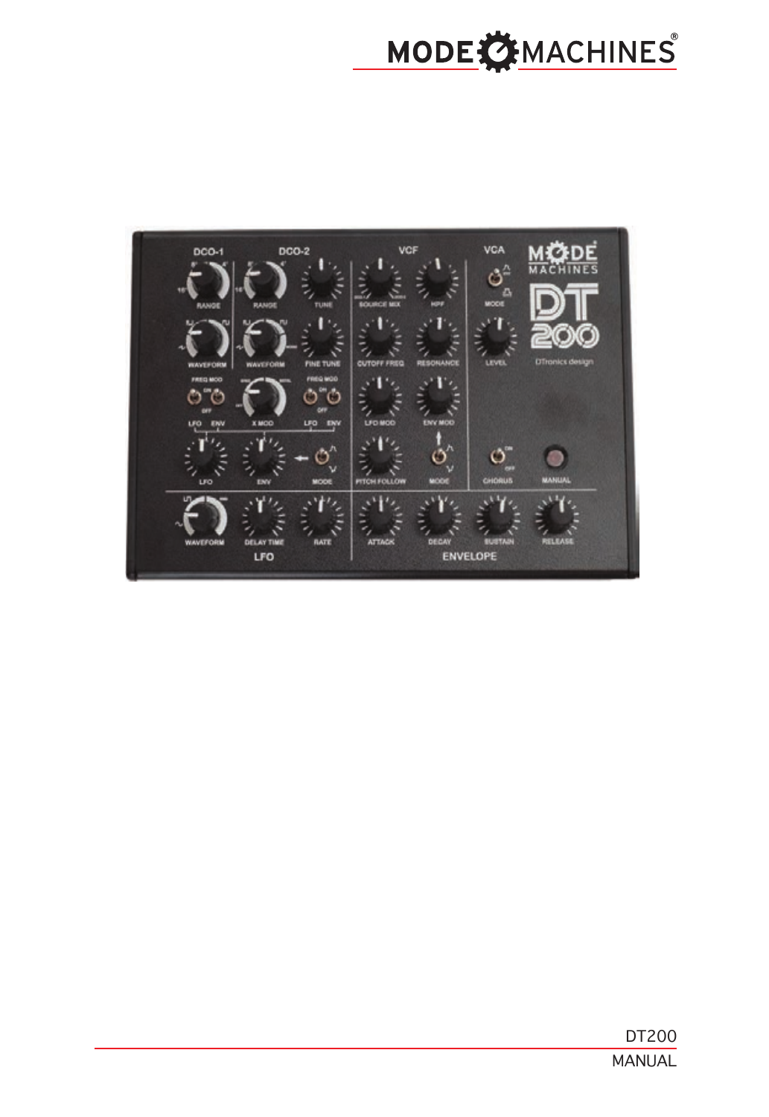# MODE CHINES

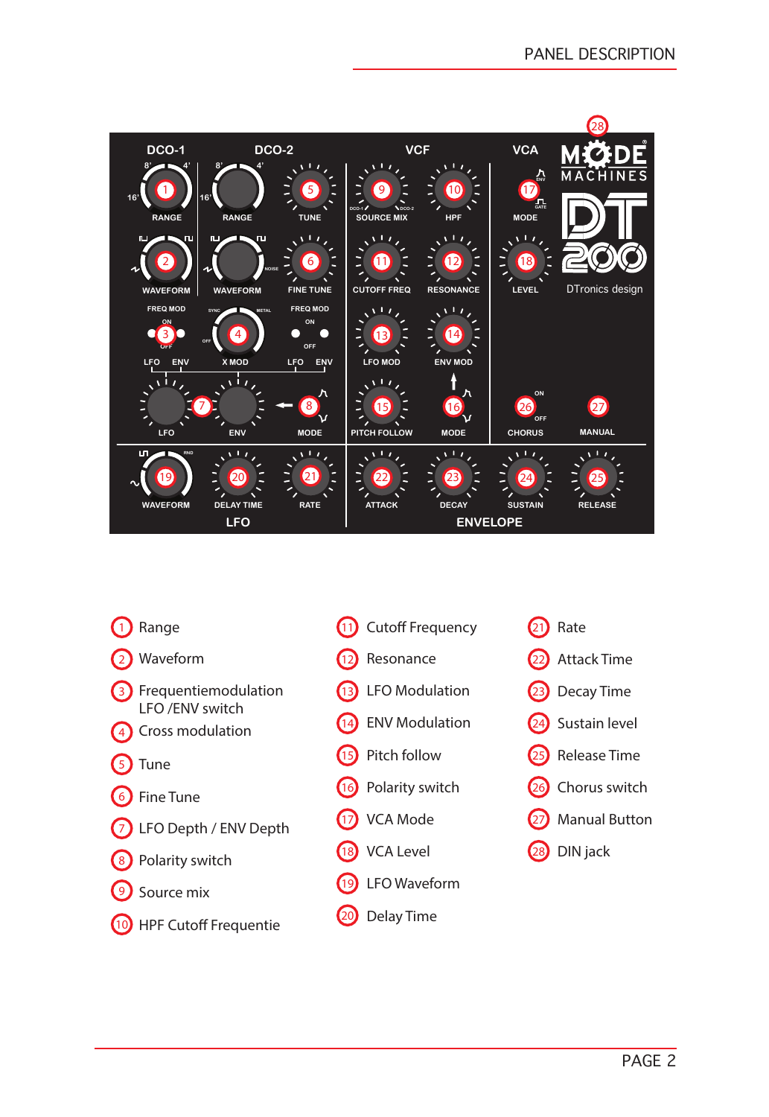

- $\blacksquare$ Range
- $\mathbf{2}$ Waveform
- 3 Frequentiemodulation LFO /ENV switch
- $\binom{4}{ }$ Cross modulation
- $\left(5\right)$ Tune
- 6 Fine Tune
- $\binom{7}{ }$ LFO Depth / ENV Depth
- 8 Polarity switch
- 9 Source mix
- $\overline{10}$ HPF Cutoff Frequentie
- 11) Cutoff Frequency
- $\overline{12}$ Resonance
- 13 LFO Modulation
- 14 ENV Modulation
- $(15)$ Pitch follow
- $(16)$ Polarity switch
- $(17)$ VCA Mode
- 18 VCA Level
- $(19)$ LFO Waveform
- $\overline{20}$ Delay Time

23  $(24)$ Sustain level Decay Time

Attack Time

Rate

 $(21)$ 

22

- 25 Release Time
- 26 Chorus switch
- 27 Manual Button
- 28 DIN jack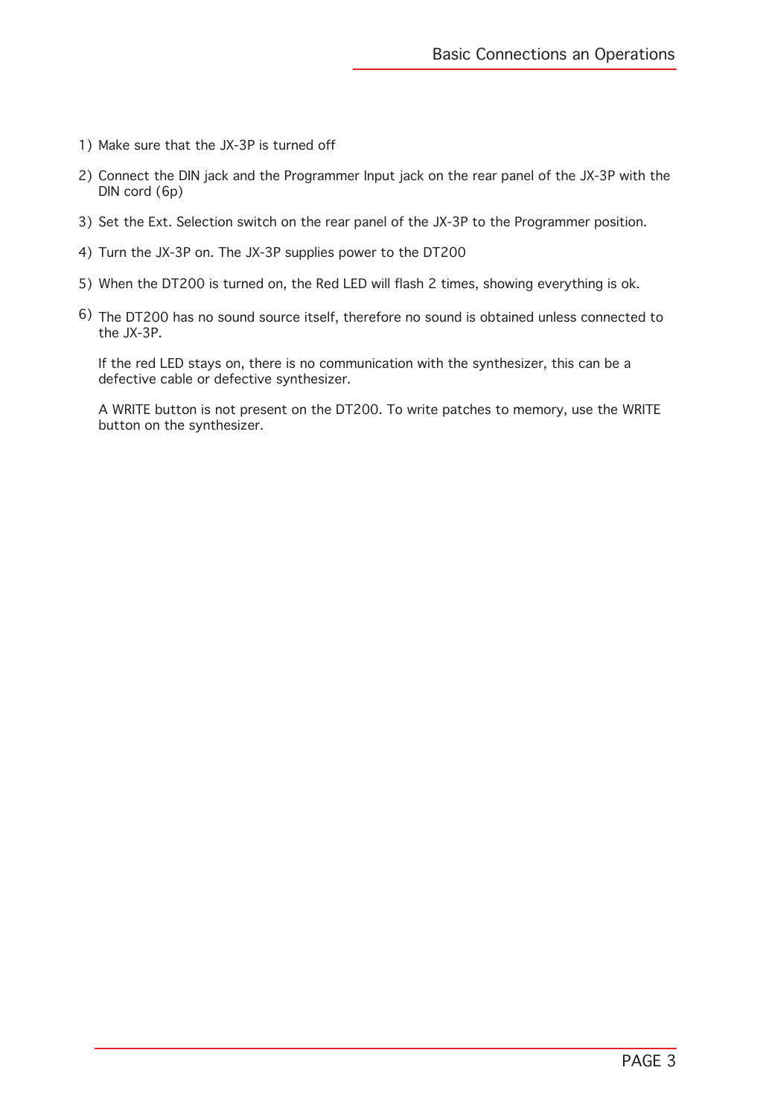- 1) Make sure that the JX-3P is turned off
- 2) Connect the DIN jack and the Programmer Input jack on the rear panel of the JX-3P with the DIN cord (6p)
- 3) Set the Ext. Selection switch on the rear panel of the JX-3P to the Programmer position.
- Turn the JX-3P on. The JX-3P supplies power to the DT200 4)
- When the DT200 is turned on, the Red LED will flash 2 times, showing everything is ok. 5)
- 6) The DT200 has no sound source itself, therefore no sound is obtained unless connected to the JX-3P.

If the red LED stays on, there is no communication with the synthesizer, this can be a defective cable or defective synthesizer.

A WRITE button is not present on the DT200. To write patches to memory, use the WRITE button on the synthesizer.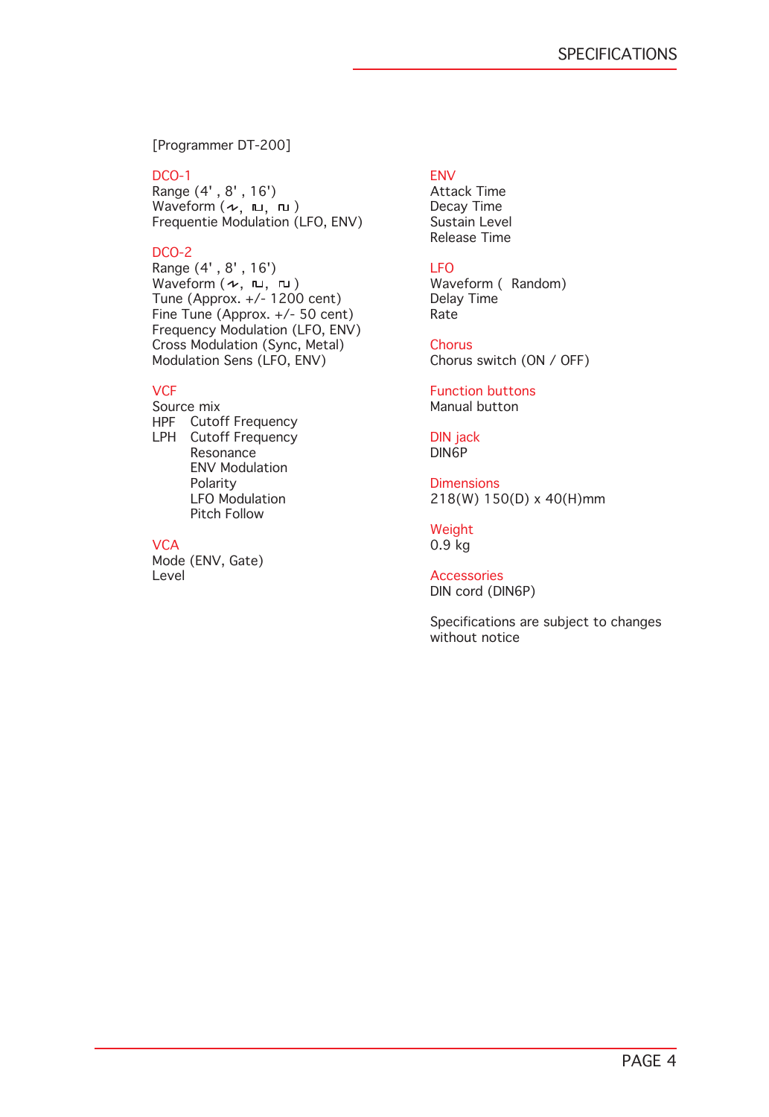[Programmer DT-200]

#### DCO-1

Range (4' , 8' , 16') Waveform  $(\nu, \; {\tiny\rm I\hspace{-1.2ex}I\hspace{-1.2ex}I}, \; {\tiny\rm I\hspace{-1.2ex}I\hspace{-1.2ex}I})$ Frequentie Modulation (LFO, ENV)

## DCO-2

Range (4' , 8' , 16') Waveform  $(\sim, \pi, \pi)$ Tune (Approx. +/- 1200 cent) Fine Tune (Approx. +/- 50 cent) Frequency Modulation (LFO, ENV) Cross Modulation (Sync, Metal) Modulation Sens (LFO, ENV)

## **VCF**

Source mix HPF Cutoff Frequency LPH Cutoff Frequency Resonance ENV Modulation Polarity LFO Modulation Pitch Follow

# **VCA**

Mode (ENV, Gate) Level

# ENV

Attack Time Decay Time Sustain Level Release Time

# LFO

Waveform ( Random) Delay Time **Rate** 

### **Chorus**

Chorus switch (ON / OFF)

Function buttons Manual button

#### DIN jack DIN6P

**Dimensions** 218(W) 150(D) x 40(H)mm

Weight 0.9 kg

#### Accessories DIN cord (DIN6P)

Specifications are subject to changes without notice